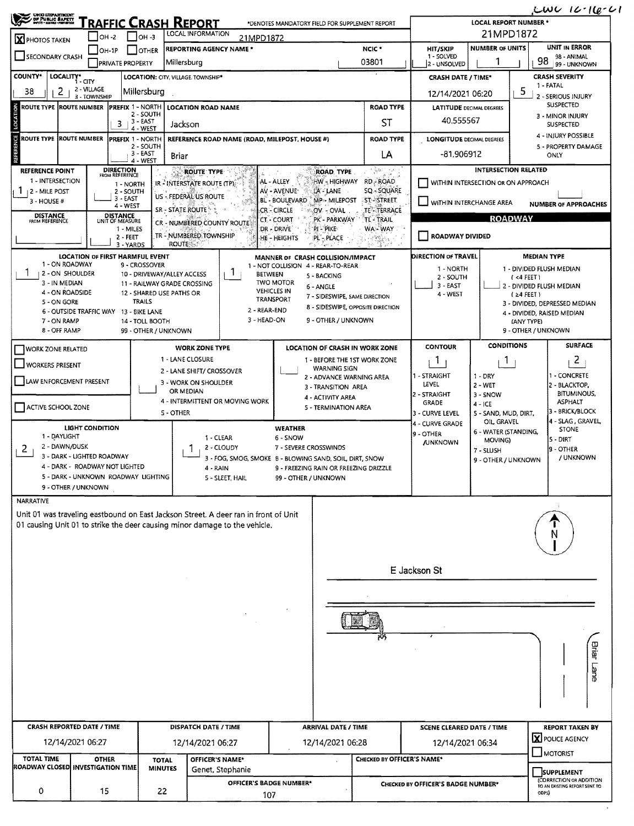| <b>UHO LIZPARTMENT<br/>/ DF PUBLIC BAFETT</b><br>/ Myrt - Elevel - Ministral                                             | <b>FRAFFIC CRASH REPORT</b>                                                                                                   |                                                                                                                                                                    |                                                                                                                                                                   | *DENOTES MANDATORY FIELD FOR SUPPLEMENT REPORT                                                                                                                                                                                                         |                                                                                           |                                                                                                   | <b>LOCAL REPORT NUMBER *</b>                                                              |                                                                                      | $L$ WU 16-16-61                                                                                                                 |  |
|--------------------------------------------------------------------------------------------------------------------------|-------------------------------------------------------------------------------------------------------------------------------|--------------------------------------------------------------------------------------------------------------------------------------------------------------------|-------------------------------------------------------------------------------------------------------------------------------------------------------------------|--------------------------------------------------------------------------------------------------------------------------------------------------------------------------------------------------------------------------------------------------------|-------------------------------------------------------------------------------------------|---------------------------------------------------------------------------------------------------|-------------------------------------------------------------------------------------------|--------------------------------------------------------------------------------------|---------------------------------------------------------------------------------------------------------------------------------|--|
| <b>X</b> PHOTOS TAKEN                                                                                                    | $IOH -2$                                                                                                                      |                                                                                                                                                                    |                                                                                                                                                                   | 21MPD1872                                                                                                                                                                                                                                              |                                                                                           |                                                                                                   |                                                                                           |                                                                                      |                                                                                                                                 |  |
| SECONDARY CRASH                                                                                                          | $I$ OH-1P                                                                                                                     | <b>OTHER</b>                                                                                                                                                       | <b>REPORTING AGENCY NAME *</b>                                                                                                                                    | NCIC <sup>+</sup>                                                                                                                                                                                                                                      | <b>HIT/SKIP</b><br>1 - SOLVED                                                             | <b>NUMBER OF UNITS</b>                                                                            |                                                                                           | <b>UNIT IN ERROR</b><br>98 - ANIMAL<br>98                                            |                                                                                                                                 |  |
|                                                                                                                          | <b>PRIVATE PROPERTY</b>                                                                                                       |                                                                                                                                                                    | Millersburg                                                                                                                                                       |                                                                                                                                                                                                                                                        | 03801                                                                                     | 2 - UNSOLVED                                                                                      |                                                                                           |                                                                                      | 99 - UNKNOWN                                                                                                                    |  |
| <b>COUNTY*</b><br>LOCALITY*                                                                                              | 1-CITY<br>2 - VILLAGE                                                                                                         |                                                                                                                                                                    | LOCATION: CITY, VILLAGE, TOWNSHIP*                                                                                                                                |                                                                                                                                                                                                                                                        |                                                                                           | <b>CRASH DATE / TIME*</b>                                                                         |                                                                                           |                                                                                      | <b>CRASH SEVERITY</b><br>1 - FATAL                                                                                              |  |
| 38<br>2                                                                                                                  | 3 - TOWNSHIP                                                                                                                  | Millersburg                                                                                                                                                        |                                                                                                                                                                   |                                                                                                                                                                                                                                                        |                                                                                           | 12/14/2021 06:20                                                                                  |                                                                                           | 5                                                                                    | 2 - SERIOUS INJURY                                                                                                              |  |
| ROUTE TYPE IROUTE NUMBER                                                                                                 |                                                                                                                               | PREFIX 1 NORTH<br>2 - SOUTH                                                                                                                                        | <b>LOCATION ROAD NAME</b>                                                                                                                                         | <b>ROAD TYPE</b>                                                                                                                                                                                                                                       |                                                                                           |                                                                                                   | <b>LATITUDE DECIMAL DEGREES</b>                                                           |                                                                                      | <b>SUSPECTED</b><br>3 - MINOR INJURY                                                                                            |  |
|                                                                                                                          | з.                                                                                                                            | 3 - EAST<br>4 - WEST                                                                                                                                               | Jackson                                                                                                                                                           |                                                                                                                                                                                                                                                        | ST                                                                                        | 40.555567                                                                                         |                                                                                           |                                                                                      | SUSPECTED                                                                                                                       |  |
| ROUTE TYPE IROUTE NUMBER                                                                                                 |                                                                                                                               | PREFIX 1 - NORTH                                                                                                                                                   | REFERENCE ROAD NAME (ROAD, MILEPOST, HOUSE #)                                                                                                                     | <b>ROAD TYPE</b>                                                                                                                                                                                                                                       |                                                                                           |                                                                                                   | <b>LONGITUDE DECIMAL DEGREES</b>                                                          |                                                                                      | 4 - INJURY POSSIBLE                                                                                                             |  |
|                                                                                                                          |                                                                                                                               | 2 - SOUTH<br>3 - EAST<br>4 - WEST                                                                                                                                  | Briar                                                                                                                                                             |                                                                                                                                                                                                                                                        | LA                                                                                        | -81.906912                                                                                        |                                                                                           |                                                                                      | 5 - PROPERTY DAMAGE<br>ONLY                                                                                                     |  |
| <b>REFERENCE POINT</b><br>1 - INTERSECTION<br>  2 - MILE POST<br>3 - HOUSE #<br><b>DISTANCE</b><br>FROM REFERENCE        | <b>DIRECTION</b><br>FROM REFERENCE<br>1 - NORTH<br>2 - SOUTH<br>$3 - EAST$<br>4 - WEST<br><b>DISTANCE</b><br>UNIT OF MEASURE  |                                                                                                                                                                    | <b>ROUTE TYPE</b><br>IR - INTERSTATE ROUTE (TP)<br>US - FEDERAL US ROUTE<br>SR - STATE ROUTE<br>CR - NUMBERED COUNTY ROUTE                                        | ROAD, TYPE<br>HW - HIGHWAY<br>AL - ALLEY<br>AV - AVENUE*<br>LA - LANE<br>BL - BOULEVARD<br><b>MP-MILEPOST</b><br><b>CR-CIRCLE</b><br>OV - OVAL<br><b>CT-COURT</b><br>PK - PARKWAY                                                                      | (病院) ( )<br>RD - ROAD<br>SQ - SQUARE<br><b>ST-STREET</b><br>TE TERRACE<br><b>TL-TRAIL</b> | WITHIN INTERCHANGE AREA                                                                           | <b>INTERSECTION RELATED</b><br>WITHIN INTERSECTION OR ON APPROACH<br><b>ROADWAY</b>       |                                                                                      | <b>NUMBER OF APPROACHES</b>                                                                                                     |  |
|                                                                                                                          | 1 - MILES<br>2 - FEET                                                                                                         |                                                                                                                                                                    | TR - NUMBERED TOWNSHIP<br><b>ROUTE</b>                                                                                                                            | :DR - DRIVE`<br>PI - PIKE<br>HE - HEIGHTS<br>PL'-PLACE                                                                                                                                                                                                 | WAS WAY.                                                                                  | <b>ROADWAY DIVIDED</b>                                                                            |                                                                                           |                                                                                      |                                                                                                                                 |  |
| 1 - ON ROADWAY<br>1<br>2 - ON SHOULDER<br>3 - IN MEDIAN<br>4 - ON ROADSIDE<br>5 - ON GORE<br>7 - ON RAMP<br>8 - OFF RAMP | 3 - YARDS<br>LOCATION OF FIRST HARMFUL EVENT<br>6 - OUTSIDE TRAFFIC WAY 13 - BIKE LANE                                        | 9 - CROSSOVER<br>10 - DRIVEWAY/ALLEY ACCESS<br>11 - RAILWAY GRADE CROSSING<br>12 - SHARED USE PATHS OR<br><b>TRAILS</b><br>14 - TOLL BOOTH<br>99 - OTHER / UNKNOWN | Τ.<br><b>BETWEEN</b><br>2 - REAR-END<br>3 - HEAD-ON                                                                                                               | MANNER OF CRASH COLLISION/IMPACT<br>1 - NOT COLLISION 4 - REAR-TO-REAR<br>5 - BACKING<br><b>TWO MOTOR</b><br>6 - ANGLE<br><b>VEHICLES IN</b><br>7 - SIDESWIPE, SAME DIRECTION<br>TRANSPORT<br>8 - SIDESWIPE, OPPOSITE DIRECTION<br>9 - OTHER / UNKNOWN |                                                                                           | DIRECTION OF TRAVEL<br>1 - NORTH<br>2 - SOUTH<br>3 - EAST<br>4 - WEST                             |                                                                                           | <b>MEDIAN TYPE</b><br>$(4$ FEET)<br>$(24$ FEET)<br>(ANY TYPE)<br>9 - OTHER / UNKNOWN | 1 - DIVIDED FLUSH MEDIAN<br>2 - DIVIDED FLUSH MEDIAN<br>3 - DIVIDED, DEPRESSED MEDIAN<br>4 - DIVIDED, RAISED MEDIAN             |  |
| <b>I WORK ZONE RELATED</b>                                                                                               |                                                                                                                               |                                                                                                                                                                    | <b>WORK ZONE TYPE</b>                                                                                                                                             | <b>LOCATION OF CRASH IN WORK ZONE</b>                                                                                                                                                                                                                  |                                                                                           | <b>CONTOUR</b>                                                                                    | <b>CONDITIONS</b>                                                                         |                                                                                      | <b>SURFACE</b>                                                                                                                  |  |
| <b>WORKERS PRESENT</b><br>LAW ENFORCEMENT PRESENT<br>ACTIVE SCHOOL ZONE                                                  |                                                                                                                               |                                                                                                                                                                    | 1 - LANE CLOSURE<br>2 - LANE SHIFT/ CROSSOVER<br>3 - WORK ON SHOULDER<br>OR MEDIAN<br>4 - INTERMITTENT OR MOVING WORK<br>S - OTHER                                | 1 - BEFORE THE 1ST WORK ZONE<br><b>WARNING SIGN</b><br>2 - ADVANCE WARNING AREA<br>3 - TRANSITION AREA<br>4 - ACTIVITY AREA<br>5 - TERMINATION AREA                                                                                                    |                                                                                           | -1<br>1 - STRAIGHT<br>LEVEL<br>2 - STRAIGHT<br><b>GRADE</b><br>3 - CURVE LEVEL<br>4 - CURVE GRADE | Т.<br>1 DRY<br>$2 - WET$<br>$3 - SNOW$<br>$4 - ICE$<br>5 - SAND, MUD, DIRT,<br>OIL GRAVEL |                                                                                      | $\overline{2}$<br>1 - CONCRETE<br>2 - BLACKTOP,<br><b>BITUMINOUS,</b><br><b>ASPHALT</b><br>3 - BRICK/BLOCK<br>4 - SLAG . GRAVEL |  |
| 1 - DAYLIGHT<br>2 - DAWN/DUSK<br>2<br>9 - OTHER / UNKNOWN                                                                | <b>LIGHT CONDITION</b><br>3 - DARK - LIGHTED ROADWAY<br>4 - DARK - ROADWAY NOT LIGHTED<br>5 - DARK - UNKNOWN ROADWAY LIGHTING |                                                                                                                                                                    | 1 - CLEAR<br>2 - CLOUDY<br>4 - RAIN<br>5 - SLEET, HAIL                                                                                                            | <b>WEATHER</b><br>6 - SNOW<br>7 - SEVERE CROSSWINDS<br>3 - FOG, SMOG, SMOKE 8 - BLOWING SAND, SOIL DIRT, SNOW<br>9 - FREEZING RAIN OR FREEZING DRIZZLE<br>99 - OTHER / UNKNOWN                                                                         |                                                                                           | 9 - OTHER<br><b>JUNKNOWN</b>                                                                      | 6 - WATER (STANDING,<br>MOVING)<br>7 - SLUSH<br>9 - OTHER / UNKNOWN                       |                                                                                      | <b>STONE</b><br> 5 - DIRT<br>19 - OTHER<br>/ UNKNOWN                                                                            |  |
| <b>NARRATIVE</b>                                                                                                         |                                                                                                                               |                                                                                                                                                                    | Unit 01 was traveling eastbound on East Jackson Street. A deer ran in front of Unit<br>01 causing Unit 01 to strike the deer causing minor damage to the vehicle. |                                                                                                                                                                                                                                                        |                                                                                           |                                                                                                   |                                                                                           |                                                                                      | N                                                                                                                               |  |
|                                                                                                                          |                                                                                                                               |                                                                                                                                                                    |                                                                                                                                                                   |                                                                                                                                                                                                                                                        |                                                                                           | E Jackson St                                                                                      |                                                                                           |                                                                                      |                                                                                                                                 |  |
|                                                                                                                          |                                                                                                                               |                                                                                                                                                                    |                                                                                                                                                                   |                                                                                                                                                                                                                                                        |                                                                                           |                                                                                                   |                                                                                           |                                                                                      | Briar Lane                                                                                                                      |  |
|                                                                                                                          |                                                                                                                               |                                                                                                                                                                    | DISPATCH DATE / TIME                                                                                                                                              | <b>ARRIVAL DATE / TIME</b>                                                                                                                                                                                                                             |                                                                                           |                                                                                                   |                                                                                           |                                                                                      | <b>REPORT TAKEN BY</b>                                                                                                          |  |
|                                                                                                                          | <b>CRASH REPORTED DATE / TIME</b><br>12/14/2021 06:27                                                                         |                                                                                                                                                                    |                                                                                                                                                                   |                                                                                                                                                                                                                                                        |                                                                                           | <b>SCENE CLEARED DATE / TIME</b><br>12/14/2021 06:34                                              |                                                                                           |                                                                                      |                                                                                                                                 |  |
|                                                                                                                          |                                                                                                                               |                                                                                                                                                                    | 12/14/2021 06:27                                                                                                                                                  | 12/14/2021 06:28                                                                                                                                                                                                                                       |                                                                                           |                                                                                                   |                                                                                           |                                                                                      | X POLICE AGENCY                                                                                                                 |  |
| <b>TOTAL TIME</b><br>ROADWAY CLOSED INVESTIGATION TIME                                                                   | <b>OTHER</b>                                                                                                                  | TOTAL<br><b>MINUTES</b>                                                                                                                                            | OFFICER'S NAME*                                                                                                                                                   |                                                                                                                                                                                                                                                        | CHECKED BY OFFICER'S NAME*                                                                |                                                                                                   |                                                                                           |                                                                                      | MOTORIST                                                                                                                        |  |
|                                                                                                                          |                                                                                                                               |                                                                                                                                                                    | Genet, Stephanie<br>OFFICER'S BADGE NUMBER*                                                                                                                       |                                                                                                                                                                                                                                                        |                                                                                           | CHECKED BY OFFICER'S BADGE NUMBER*                                                                |                                                                                           |                                                                                      | SUPPLEMENT<br>(CORRECTION OR ADDITION<br>TO AN EXISTING REPORT SENT TO                                                          |  |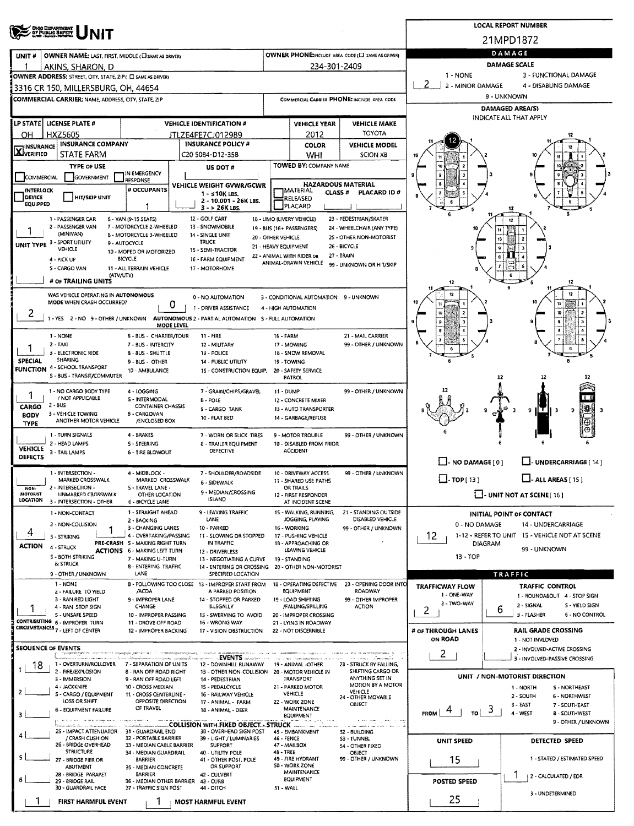|                            | <b>OHO DEPARTMENT</b><br>OF PUBLIC SAFETY                                              |                                                          |                                                                         |                    |                                                 |                                                    |                          |                | <b>LOCAL REPORT NUMBER</b>                                |  |  |
|----------------------------|----------------------------------------------------------------------------------------|----------------------------------------------------------|-------------------------------------------------------------------------|--------------------|-------------------------------------------------|----------------------------------------------------|--------------------------|----------------|-----------------------------------------------------------|--|--|
|                            |                                                                                        |                                                          |                                                                         |                    |                                                 |                                                    |                          |                | 21MPD1872                                                 |  |  |
| UNIT#                      | <b>OWNER NAME: LAST, FIRST, MIDDLE (CI SAME AS DRIVER)</b>                             |                                                          |                                                                         |                    |                                                 | OWNER PHONE: INCLUDE AREA CODE (C) SAME AS GRIVER) | DAMAGE                   |                |                                                           |  |  |
|                            | AKINS, SHARON, D                                                                       |                                                          |                                                                         |                    | 234-301-2409                                    |                                                    | <b>DAMAGE SCALE</b>      |                |                                                           |  |  |
|                            | OWNER ADDRESS: STREET, CITY, STATE, ZIP ( C SAME AS DRIVER)                            |                                                          |                                                                         |                    |                                                 |                                                    | 1 NONE                   |                | 3 - FUNCTIONAL DAMAGE                                     |  |  |
|                            | 3316 CR 150, MILLERSBURG, OH. 44654                                                    |                                                          |                                                                         |                    |                                                 |                                                    | 2<br>2 - MINOR DAMAGE    |                | 4 - DISABLING DAMAGE                                      |  |  |
|                            | <b>COMMERCIAL CARRIER: NAME, ADDRESS, CITY, STATE, ZIP</b>                             |                                                          |                                                                         |                    |                                                 | COMMERCIAL CARRIER PHONE: INCLUDE AREA CODE        |                          | 9 - UNKNOWN    | <b>DAMAGED AREA(S)</b>                                    |  |  |
|                            |                                                                                        |                                                          |                                                                         |                    |                                                 |                                                    |                          |                | INDICATE ALL THAT APPLY                                   |  |  |
|                            | LP STATE LICENSE PLATE #                                                               |                                                          | <b>VEHICLE IDENTIFICATION #</b>                                         |                    | <b>VEHICLE YEAR</b>                             | <b>VEHICLE MAKE</b><br><b>TOYOTA</b>               |                          |                |                                                           |  |  |
| OН<br><b>INSURANCE</b>     | <b>HXZ5605</b><br><b>INSURANCE COMPANY</b>                                             |                                                          | JTLZE4FE7CJ012989<br><b>INSURANCE POLICY #</b>                          |                    | 2012<br><b>COLOR</b>                            | <b>VEHICLE MODEL</b>                               |                          |                |                                                           |  |  |
| <b>X</b> VERIFIED          | <b>STATE FARM</b>                                                                      |                                                          | C20 5084-D12-35B                                                        |                    | WHI                                             | <b>SCION XB</b>                                    |                          |                |                                                           |  |  |
|                            | <b>TYPE OF USE</b>                                                                     |                                                          | US DOT#                                                                 |                    | TOWED BY: COMPANY NAME                          |                                                    |                          |                |                                                           |  |  |
| COMMERCIAL                 | GOVERNMENT                                                                             | IN EMERGENCY<br>RESPONSE                                 |                                                                         |                    | <b>HAZARDOUS MATERIAL</b>                       |                                                    |                          |                |                                                           |  |  |
| <b>INTERLOCK</b><br>DEVICE | <b>HIT/SKIP UNIT</b>                                                                   | # OCCUPANTS                                              | VEHICLE WEIGHT GVWR/GCWR<br>$1 - s10K$ LBS.                             |                    | <b>TMATERIAL</b><br>CLASS #                     | PLACARD ID#                                        |                          |                |                                                           |  |  |
| EQUIPPED                   |                                                                                        |                                                          | 2 - 10.001 - 26K LBS.<br>3 - > 26K LBS.                                 |                    | RELEASED<br>PLACARD                             |                                                    |                          |                | 12                                                        |  |  |
|                            | 1 - PASSENGER CAR                                                                      | 6 - VAN (9-15 SEATS)                                     | 12 - GOLF CART                                                          |                    | 18 - LIMO (LIVERY VEHICLE)                      | 23 - PEDESTRIAN/SKATER                             |                          |                |                                                           |  |  |
|                            | 2 - PASSENGER VAN<br>(MINIVAN)                                                         | 7 - MOTORCYCLE 2-WHEELED<br>8 - MOTORCYCLE 3-WHEELED     | 13 - SNOWMOBILE<br>14 - SINGLE UNIT                                     |                    | 19 - BUS (16+ PASSENGERS)                       | 24 - WHEELCHAIR (ANY TYPE)                         |                          |                |                                                           |  |  |
|                            | UNIT TYPE 3 - SPORT UTILITY                                                            | 9 - AUTOCYCLE                                            | <b>TRUCK</b>                                                            | 20 - OTHER VEHICLE | 21 - HEAVY EQUIPMENT                            | 25 - OTHER NON-MOTORIST<br>26 - BICYCLE            |                          |                |                                                           |  |  |
|                            | VEHICLE<br>4 - PICK UP                                                                 | 10 - MOPED OR MOTORIZED<br>BICYCLE                       | 15 - SEMI-TRACTOR<br>16 - FARM EQUIPMENT                                |                    | 22 - ANIMAL WITH RIDER OR                       | 27 - TRAIN                                         |                          |                |                                                           |  |  |
|                            | 5 - CARGO VAN                                                                          | 11 - ALL TERRAIN VEHICLE                                 | 17 - MOTORHOME                                                          |                    | ANIMAL-DRAWN VEHICLE                            | 99 - UNKNOWN OR HIT/SKIP                           |                          |                |                                                           |  |  |
|                            | (ATV/UTV)<br># OF TRAILING UNITS                                                       |                                                          |                                                                         |                    |                                                 |                                                    | 12                       |                | e<br>12                                                   |  |  |
|                            | WAS VEHICLE OPERATING IN AUTONOMOUS                                                    |                                                          | 0 - NO AUTOMATION                                                       |                    | 3 - CONDITIONAL AUTOMATION 9 - UNKNOWN          |                                                    |                          |                |                                                           |  |  |
|                            | MODE WHEN CRASH OCCURRED?                                                              | 0                                                        | 1 - DRIVER ASSISTANCE                                                   |                    | 4 - HIGH AUTOMATION                             |                                                    |                          |                |                                                           |  |  |
| 2                          | 1 - YES 2 - NO 9 - OTHER / UNKNOWN                                                     |                                                          | AUTONOMOUS 2 - PARTIAL AUTOMATION 5 - FULL AUTOMATION                   |                    |                                                 |                                                    |                          |                | 10                                                        |  |  |
|                            | 1 - NONE                                                                               | MODE LEVEL<br><b>6 - BUS - CHARTER/TOUR</b>              | $11 - FIRE$                                                             | <b>16 - FARM</b>   |                                                 | 21 - MAIL CARRIER                                  |                          |                |                                                           |  |  |
|                            | $2 - TAX$                                                                              | 7 - BUS - INTERCITY                                      | 12 - MILITARY                                                           |                    | 17 - MOWING                                     | 99 - OTHER / UNKNOWN                               |                          |                |                                                           |  |  |
| 1<br>SPECIAL               | 3 - ELECTRONIC RIDE<br><b>SHARING</b>                                                  | 8 - 8US - SHUTTLE                                        | 13 - POLICE                                                             |                    | 18 - SNOW REMOVAL                               |                                                    |                          |                |                                                           |  |  |
| <b>FUNCTION</b>            | 4 - SCHOOL TRANSPORT                                                                   | 9 - BUS - OTHER<br>10 - AMBULANCE                        | 14 - PUBLIC UTILITY<br>15 - CONSTRUCTION EQUIP.                         |                    | 19 - TOWING<br>20 - SAFETY SERVICE              |                                                    |                          |                |                                                           |  |  |
|                            | S - BUS - TRANSIT/COMMUTER                                                             |                                                          |                                                                         |                    | PATROL                                          |                                                    |                          | 12             |                                                           |  |  |
|                            | 1 - NO CARGO BODY TYPE<br>/ NOT APPLICABLE                                             | 4 - LOGGING                                              | 7 - GRAIN/CHIPS/GRAVEL                                                  | <b>11 - DUMP</b>   |                                                 | 99 - OTHER / UNKNOWN                               |                          |                |                                                           |  |  |
| CARGO                      | $2 - BUS$                                                                              | S - INTERMODAL<br><b>CONTAINER CHASSIS</b>               | <b>B-POLE</b><br>9 - CARGO TANK                                         |                    | 12 - CONCRETE MIXER<br>13 - AUTO TRANSPORTER    |                                                    |                          |                | IS.<br>9<br>91                                            |  |  |
| <b>BODY</b><br><b>TYPE</b> | 3 - VEHICLE TOWING<br>ANOTHER MOTOR VEHICLE                                            | 6 - CARGOVAN<br>/ENCLOSED BOX                            | <b>10 - FLAT BED</b>                                                    |                    | 14 - GARBAGE/REFUSE                             |                                                    |                          |                |                                                           |  |  |
|                            | 1 - TURN SIGNALS                                                                       | 4 - BRAKES                                               | 7 - WORN OR SLICK TIRES                                                 |                    | 9 - MOTOR TROUBLE                               | 99 - OTHER / UNKNOWN                               |                          |                |                                                           |  |  |
| <b>VEHICLE</b>             | 2 - HEAD LAMPS                                                                         | S - STEERING                                             | 8 - TRAILER EQUIPMENT                                                   |                    | 10 - DISABLED FROM PRIOR                        |                                                    |                          |                |                                                           |  |  |
| <b>DEFECTS</b>             | 3 - TAIL LAMPS                                                                         | <b>6 - TIRE BLOWOUT</b>                                  | <b>DEFECTIVE</b>                                                        |                    | <b>ACCIDENT</b>                                 |                                                    |                          |                | L.J. UNDERCARRIAGE [ 14 ]                                 |  |  |
|                            | 1 - INTERSECTION -                                                                     | 4 - MIDBLOCK -                                           | 7 - SHOULDER/ROADSIDE                                                   |                    | 10 - DRIVEWAY ACCESS                            | 99 - OTHER / UNKNOWN                               | $\Box$ - NO DAMAGE $[0]$ |                |                                                           |  |  |
|                            | MARKED CROSSWALK                                                                       | MARKED CROSSWALK                                         | <b>8 - SIDEWALK</b>                                                     |                    | 11 - SHARED USE PATHS                           |                                                    | $\Box$ -TOP(13)          |                | $\Box$ - ALL AREAS [15]                                   |  |  |
| NON-<br><b>MOTORIST</b>    | 2 - INTERSECTION -<br>UNMARKED CROSSWALK                                               | S - TRAVEL LANE -<br>OTHER LOCATION                      | 9 - MEDIAN/CROSSING<br><b>ISLAND</b>                                    |                    | OR TRAILS<br>12 - FIRST RESPONDER               |                                                    |                          |                | $\Box$ UNIT NOT AT SCENE [16]                             |  |  |
| LOCATION                   | 3 - INTERSECTION - OTHER                                                               | 6 - BICYCLE LANE<br>1 - STRAIGHT AHEAD                   | 9 - LEAVING TRAFFIC                                                     |                    | AT INCIDENT SCENE<br>15 - WALKING, RUNNING,     |                                                    |                          |                |                                                           |  |  |
|                            | 1 - NON-CONTACT<br>2 - NON-COLLISION                                                   | 2 - BACKING                                              | LANE                                                                    |                    | JOGGING, PLAYING                                | 21 - STANDING OUTSIDE<br>DISABLED VEHICLE          | 0 - NO DAMAGE            |                | INITIAL POINT OF CONTACT<br>14 - UNDERCARRIAGE            |  |  |
| 4                          | 1<br>3 - STRIKING                                                                      | 3 - CHANGING LANES<br>4 - OVERTAKING/PASSING             | 10 - PARKED<br>11 - SLOWING OR STOPPED                                  |                    | 16 - WORKING<br>17 - PUSHING VEHICLE            | 99 - OTHER / UNKNOWN                               | 12                       |                | 1-12 - REFER TO UNIT 15 - VEHICLE NOT AT SCENE            |  |  |
| <b>ACTION</b>              | 4 - STRUCK                                                                             | PRE-CRASH S - MAKING RIGHT TURN                          | IN TRAFFIC                                                              |                    | 18 - APPROACHING OR                             |                                                    |                          | <b>DIAGRAM</b> | 99 - UNKNOWN                                              |  |  |
|                            | <b>S - BOTH STRIKING</b>                                                               | <b>ACTIONS 6 - MAKING LEFT TURN</b><br>7 - MAKING U-TURN | 12 - DRIVERLESS<br>13 - NEGOTIATING A CURVE                             |                    | LEAVING VEHICLE<br>19 - STANDING                |                                                    | 13 - TOP                 |                |                                                           |  |  |
|                            | & STRUCK<br>9 - OTHER / UNKNOWN                                                        | 8 ENTERING TRAFFIC<br><b>LANE</b>                        | 14 - ENTERING OR CROSSING<br>SPECIFIED LOCATION                         |                    | 20 - OTHER NON-MOTORIST                         |                                                    |                          |                | <b>TRAFFIC</b>                                            |  |  |
|                            | 1 - NONE                                                                               |                                                          | 8 - FOLLOWING TOO CLOSE 13 - IMPROPER START FROM                        |                    | 18 - OPERATING DEFECTIVE                        | 23 - OPENING DOOR INTO                             | <b>TRAFFICWAY FLOW</b>   |                | <b>TRAFFIC CONTROL</b>                                    |  |  |
|                            | 2 - FAILURE TO YIELD<br>3 - RAN RED LIGHT                                              | /ACDA<br>9 - IMPROPER LANE                               | A PARKED POSITION<br>14 - STOPPED OR PARKED                             |                    | EQUIPMENT<br>19 - LOAD SHIFTING                 | ROADWAY<br>99 - OTHER IMPROPER                     | 1 - ONE-WAY              |                | 1 - ROUNDABOUT 4 - STOP SIGN                              |  |  |
|                            | 4 - RAN STOP SIGN                                                                      | CHANGE                                                   | <b>ILLEGALLY</b>                                                        |                    | /FALLING/SPILLING                               | <b>ACTION</b>                                      | 2 - IWO-WAY<br>2         | 6              | 2 - SIGNAL<br>S - YIELD SIGN                              |  |  |
|                            | 5 - UNSAFE SPEED<br>CONTRIBUTING 6 - IMPROPER TURN                                     | 10 - IMPROPER PASSING<br>11 - DROVE OFF ROAD             | 15 - SWERVING TO AVOID<br>16 - WRONG WAY                                |                    | 20 - IMPROPER CROSSING<br>21 - LYING IN ROADWAY |                                                    |                          |                | 3 - FLASHER<br>6 - NO CONTROL                             |  |  |
|                            | CIRCUMSTANCES 7 - LEFT OF CENTER                                                       | 12 - IMPROPER BACKING                                    | 17 - VISION OBSTRUCTION                                                 |                    | 22 - NOT DISCERNIBLE                            |                                                    | # OF THROUGH LANES       |                | RAIL GRADE CROSSING                                       |  |  |
| <b>SEQUENCE OF EVENTS</b>  |                                                                                        |                                                          |                                                                         |                    |                                                 |                                                    | ON ROAD                  |                | 1 - NOT INVLOVED<br>2 - INVOLVED-ACTIVE CROSSING          |  |  |
|                            |                                                                                        | na manazartikala kaominin                                |                                                                         |                    |                                                 | case was every community.                          | 2.                       |                | 3 - INVOLVED-PASSIVE CROSSING                             |  |  |
| 18                         | 1 - OVERTURN/ROLLOVER 7 - SEPARATION OF UNITS<br>2 - FIRE/EXPLOSION                    | 8 - RAN OFF ROAD RIGHT                                   | 12 - DOWNHILL RUNAWAY<br>13 - OTHER NON-COLLISION 20 - MOTOR VEHICLE IN |                    | 19 - ANIMAL -OTHER                              | 23 - STRUCK BY FALLING,<br>SHIFTING CARGO OR       |                          |                |                                                           |  |  |
|                            | 3 - IMMERSION<br>4 - JACKKNIFE                                                         | 9 - RAN OFF ROAD LEFT<br>10 - CROSS MEDIAN               | 14 - PEDESTRIAN<br>1S - PEDALCYCLE                                      |                    | TRANSPORT<br>21 - PARKED MOTOR                  | ANYTHING SET IN<br>MOTION BY A MOTOR               |                          |                | UNIT / NON-MOTORIST DIRECTION<br>S - NORTHEAST<br>1 NORTH |  |  |
|                            | S - CARGO / EQUIPMENT<br>LOSS OR SHIFT                                                 | 11 - CROSS CENTERLINE -<br>OPPOSITE DIRECTION            | 16 - RAILWAY VEHICLE                                                    |                    | VEHICLE                                         | VEHICLE<br>24 - OTHER MOVABLE                      |                          |                | 2 - SOUTH<br>6 - NORTHWEST                                |  |  |
|                            | 6 - EQUIPMENT FAILURE                                                                  | OF TRAVEL                                                | 17 - ANIMAL - FARM<br>18 - ANIMAL - DEER                                |                    | 22 - WORK ZONE<br>MAINTENANCE                   | OBJECT                                             | <b>FROM</b><br>TO        | 3              | 3 - EAST<br>7 - SOUTHEAST<br>4 - WEST                     |  |  |
|                            | With a control of the Automotive and<br>oda safer rivini kommunistansi saa sala salan. |                                                          |                                                                         |                    | EQUIPMENT                                       | where means plates are long                        |                          |                | <b>B-SOUTHWEST</b><br>9 - OTHER / UNKNOWN                 |  |  |
|                            | 25 - IMPACT ATTENUATOR                                                                 | millaborator communication<br>31 - GUARDRAIL END         | 3B - OVERHEAD SIGN POST                                                 |                    | 45 - EMBANKMENT                                 | which is an above of the $\tau$<br>S2 - BUILDING   |                          |                |                                                           |  |  |
|                            | / CRASH CUSHION<br>26 - BRIDGE OVERHEAD                                                | 32 - PORTABLE BARRIER<br>33 - MEDIAN CABLE BARRIER       | 39 - LIGHT / LUMINARIES<br><b>SUPPORT</b>                               | 46 - FENCE         | 47 - MAILBOX                                    | <b>S3 - TUNNEL</b><br>54 - OTHER FIXED             | <b>UNIT SPEED</b>        |                | DETECTED SPEED                                            |  |  |
|                            | <b>STRUCTURE</b><br>27 - BRIDGE PIER OR                                                | 34 - MEDIAN GUARDRAIL<br><b>BARRIER</b>                  | 40 - UTILITY POLE<br>41 - OTHER POST, POLE                              | 48 - TREE          | 49 - FIRE HYDRANT                               | <b>OBJECT</b><br>99 - OTHER / UNKNOWN              | 15                       |                | 1 - STATED / ESTIMATED SPEED                              |  |  |
|                            | ABUTMENT<br>28 - BRIDGE PARAPET                                                        | 35 - MEDIAN CONCRETE<br><b>BARRIER</b>                   | OR SUPPORT<br>42 - CULVERT                                              |                    | S0 - WORK ZONE<br>MAINTENANCE                   |                                                    |                          |                |                                                           |  |  |
|                            | 29 - 8RIDGE RAIL<br>30 - GUARDRAIL FACE                                                | 36 - MEDIAN OTHER BARRIER<br>37 - TRAFFIC SIGN POST      | 43 - CURB                                                               |                    | EQUIPMENT                                       |                                                    | POSTED SPEED             |                | 2 - CALCULATED / EDR                                      |  |  |
|                            |                                                                                        |                                                          | 44 - DITCH                                                              | 51 - WALL          |                                                 |                                                    | 25                       |                | 3 - UNDETERMINED                                          |  |  |
|                            | FIRST HARMFUL EVENT                                                                    |                                                          | <b>MOST HARMFUL EVENT</b>                                               |                    |                                                 |                                                    |                          |                |                                                           |  |  |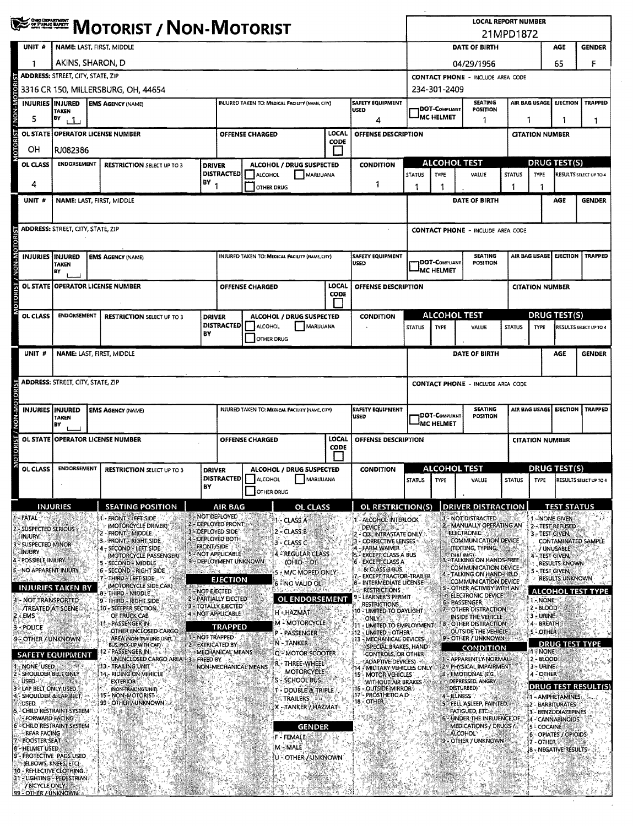|                                                                                                                                                                                                                                                                                                                           |                                                                     |  |                                                             |                   |                                                 |                                                  |                                        |                                                                        | <b>LOCAL REPORT NUMBER</b>               |                                       |                                                               |               |                              |                                         |                                                                              |
|---------------------------------------------------------------------------------------------------------------------------------------------------------------------------------------------------------------------------------------------------------------------------------------------------------------------------|---------------------------------------------------------------------|--|-------------------------------------------------------------|-------------------|-------------------------------------------------|--------------------------------------------------|----------------------------------------|------------------------------------------------------------------------|------------------------------------------|---------------------------------------|---------------------------------------------------------------|---------------|------------------------------|-----------------------------------------|------------------------------------------------------------------------------|
| ESTETT                                                                                                                                                                                                                                                                                                                    | <b>MOTORIST / NON-MOTORIST</b>                                      |  |                                                             |                   |                                                 |                                                  |                                        |                                                                        | 21MPD1872                                |                                       |                                                               |               |                              |                                         |                                                                              |
| UNIT <sub>#</sub>                                                                                                                                                                                                                                                                                                         | NAME: LAST, FIRST, MIDDLE                                           |  |                                                             |                   |                                                 |                                                  |                                        |                                                                        |                                          | DATE OF BIRTH<br><b>GENDER</b><br>AGE |                                                               |               |                              |                                         |                                                                              |
|                                                                                                                                                                                                                                                                                                                           | AKINS, SHARON, D                                                    |  |                                                             |                   |                                                 |                                                  |                                        |                                                                        | 65<br>04/29/1956                         |                                       |                                                               |               |                              |                                         | F                                                                            |
|                                                                                                                                                                                                                                                                                                                           | ADDRESS: STREET, CITY, STATE, ZIP                                   |  |                                                             |                   |                                                 |                                                  |                                        |                                                                        | <b>CONTACT PHONE - INCLUDE AREA CODE</b> |                                       |                                                               |               |                              |                                         |                                                                              |
|                                                                                                                                                                                                                                                                                                                           |                                                                     |  | 3316 CR 150, MILLERSBURG, OH, 44654                         |                   |                                                 |                                                  |                                        |                                                                        |                                          | 234-301-2409                          |                                                               |               |                              |                                         |                                                                              |
|                                                                                                                                                                                                                                                                                                                           | <b>INJURIES INJURED</b><br><b>EMS AGENCY (NAME)</b><br><b>TAKEN</b> |  |                                                             |                   | INJURED TAKEN TO: MEDICAL FACILITY (NAME, CITY) |                                                  | <b>SAFETY EQUIPMENT</b><br><b>USED</b> |                                                                        | DOT-COMPLIANT                            | <b>SEATING</b><br>POSITION            |                                                               |               | AIR BAG USAGE EJECTION       | <b>TRAPPED</b>                          |                                                                              |
| 5                                                                                                                                                                                                                                                                                                                         | BY<br>$\mathbf{1}$                                                  |  |                                                             |                   |                                                 |                                                  |                                        | 4                                                                      |                                          | <b>MC HELMET</b><br>1                 |                                                               |               | 1                            |                                         | 1                                                                            |
| OL STATE                                                                                                                                                                                                                                                                                                                  | <b>OPERATOR LICENSE NUMBER</b>                                      |  |                                                             |                   |                                                 | <b>OFFENSE CHARGED</b>                           | LOCAL<br>CODE                          | OFFENSE DESCRIPTION                                                    |                                          |                                       |                                                               |               | <b>CITATION NUMBER</b>       |                                         |                                                                              |
| OН                                                                                                                                                                                                                                                                                                                        | RJ082386                                                            |  |                                                             |                   |                                                 |                                                  |                                        |                                                                        |                                          |                                       |                                                               |               |                              |                                         |                                                                              |
| OL CLASS                                                                                                                                                                                                                                                                                                                  | <b>ENDORSEMENT</b>                                                  |  | <b>RESTRICTION SELECT UP TO 3</b>                           | <b>DRIVER</b>     | <b>DISTRACTED</b>                               | ALCOHOL / DRUG SUSPECTED<br>ALCOHOL              | MARUUANA                               | <b>CONDITION</b>                                                       | <b>STATUS</b>                            | <b>ALCOHOL TEST</b><br><b>TYPE</b>    | VALUE                                                         | <b>STATUS</b> | <b>TYPE</b>                  | <b>DRUG TEST(S)</b>                     | RESULTS SELECT UP TO 4                                                       |
| 4                                                                                                                                                                                                                                                                                                                         |                                                                     |  |                                                             | $BY$ <sub>1</sub> |                                                 | OTHER DRUG                                       |                                        | 1                                                                      | 1                                        | 1                                     |                                                               |               | 1                            |                                         |                                                                              |
| UNIT #                                                                                                                                                                                                                                                                                                                    | NAME: LAST, FIRST, MIDDLE                                           |  |                                                             |                   |                                                 |                                                  |                                        |                                                                        |                                          |                                       | DATE OF BIRTH                                                 |               |                              | AGE                                     | <b>GENDER</b>                                                                |
|                                                                                                                                                                                                                                                                                                                           |                                                                     |  |                                                             |                   |                                                 |                                                  |                                        |                                                                        |                                          |                                       |                                                               |               |                              |                                         |                                                                              |
|                                                                                                                                                                                                                                                                                                                           | <b>ADDRESS: STREET, CITY, STATE, ZIP</b>                            |  |                                                             |                   |                                                 |                                                  |                                        |                                                                        |                                          |                                       | <b>CONTACT PHONE - INCLUDE AREA CODE</b>                      |               |                              |                                         |                                                                              |
|                                                                                                                                                                                                                                                                                                                           |                                                                     |  |                                                             |                   |                                                 |                                                  |                                        |                                                                        |                                          |                                       |                                                               |               |                              |                                         |                                                                              |
| <b>INJURIES IINJURED</b>                                                                                                                                                                                                                                                                                                  | <b>TAKEN</b><br>BY                                                  |  | <b>EMS AGENCY (NAME)</b>                                    |                   |                                                 | INJURED TAKEN TO: MEDICAL FACILITY (NAME, CITY)  |                                        | SAFETY EQUIPMENT<br>USED                                               |                                          | DOT-Compliant<br><b>MC HELMET</b>     | <b>SEATING</b><br>POSITION                                    |               |                              | AIR BAG USAGE EJECTION                  | <b>TRAPPED</b>                                                               |
|                                                                                                                                                                                                                                                                                                                           | OL STATE OPERATOR LICENSE NUMBER                                    |  |                                                             |                   |                                                 | <b>OFFENSE CHARGED</b>                           | LOCAL<br><b>CODE</b>                   | OFFENSE DESCRIPTION                                                    |                                          |                                       |                                                               |               | <b>CITATION NUMBER</b>       |                                         |                                                                              |
|                                                                                                                                                                                                                                                                                                                           |                                                                     |  |                                                             |                   |                                                 |                                                  | $\overline{\phantom{a}}$               |                                                                        |                                          |                                       |                                                               |               |                              |                                         |                                                                              |
| OL CLASS                                                                                                                                                                                                                                                                                                                  | <b>ENDORSEMENT</b>                                                  |  | <b>RESTRICTION SELECT UP TO 3</b>                           | <b>DRIVER</b>     | <b>DISTRACTED</b>                               | ALCOHOL / DRUG SUSPECTED<br><b>ALCOHOL</b>       |                                        | <b>CONDITION</b>                                                       |                                          | <b>ALCOHOL TEST</b>                   |                                                               |               |                              | <b>DRUG TEST(S)</b>                     |                                                                              |
|                                                                                                                                                                                                                                                                                                                           |                                                                     |  |                                                             | B٧                |                                                 | OTHER DRUG                                       | MARUUANA                               |                                                                        | <b>STATUS</b>                            | <b>TYPE</b>                           | VALUE                                                         | <b>STATUS</b> | <b>TYPE</b>                  |                                         | RESULTS SELECT UP TO 4                                                       |
| UNIT #                                                                                                                                                                                                                                                                                                                    | NAME: LAST, FIRST, MIDDLE                                           |  |                                                             |                   |                                                 |                                                  |                                        |                                                                        |                                          |                                       | DATE OF BIRTH                                                 |               |                              | AGE                                     | <b>GENDER</b>                                                                |
|                                                                                                                                                                                                                                                                                                                           |                                                                     |  |                                                             |                   |                                                 |                                                  |                                        |                                                                        |                                          |                                       |                                                               |               |                              |                                         |                                                                              |
|                                                                                                                                                                                                                                                                                                                           | <b>ADDRESS: STREET, CITY, STATE, ZIP</b>                            |  |                                                             |                   |                                                 |                                                  |                                        |                                                                        |                                          |                                       | <b>CONTACT PHONE - INCLUDE AREA CODE</b>                      |               |                              |                                         |                                                                              |
| <b>INJURIES IINJURED</b>                                                                                                                                                                                                                                                                                                  |                                                                     |  | <b>EMS AGENCY (NAME)</b>                                    |                   |                                                 | INJURED TAKEN TO: MEDICAL FACILITY (NAME, CITY)  |                                        | <b>SAFETY EQUIPMENT</b><br><b>USED</b>                                 |                                          | DOT-Compliant                         | <b>SEATING</b><br><b>POSITION</b>                             |               |                              | AIR BAG USAGE EJECTION                  | TRAPPED                                                                      |
|                                                                                                                                                                                                                                                                                                                           | <b>TAKEN</b><br>BY                                                  |  |                                                             |                   |                                                 |                                                  |                                        |                                                                        |                                          | <sup>I</sup> MC HELMET                |                                                               |               |                              |                                         |                                                                              |
| <b>OL STATE</b>                                                                                                                                                                                                                                                                                                           | <b>OPERATOR LICENSE NUMBER</b>                                      |  |                                                             |                   |                                                 | <b>OFFENSE CHARGED</b>                           | LOCAL<br><b>CODE</b>                   | OFFENSE DESCRIPTION                                                    |                                          |                                       |                                                               |               | <b>CITATION NUMBER</b>       |                                         |                                                                              |
|                                                                                                                                                                                                                                                                                                                           |                                                                     |  |                                                             |                   |                                                 |                                                  |                                        |                                                                        |                                          |                                       |                                                               |               |                              |                                         |                                                                              |
| OL CLASS                                                                                                                                                                                                                                                                                                                  | <b>ENDORSEMENT</b>                                                  |  | <b>RESTRICTION SELECT UP TO 3</b>                           | <b>DRIVER</b>     | DISTRACTED                                      | ALCOHOL / DRUG SUSPECTED<br>ALCOHOL<br>MARIJUANA |                                        | <b>CONDITION</b>                                                       | <b>STATUS</b>                            | <b>ALCOHOL TEST</b><br>TYPE           | VALUE                                                         | <b>STATUS</b> | <b>TYPE</b>                  | <b>DRUG TEST(S)</b>                     | RESULTS SELECT UP TO 4                                                       |
|                                                                                                                                                                                                                                                                                                                           |                                                                     |  |                                                             | BY                |                                                 | <b>OTHER DRUG</b>                                |                                        |                                                                        |                                          |                                       |                                                               |               |                              |                                         |                                                                              |
|                                                                                                                                                                                                                                                                                                                           |                                                                     |  |                                                             |                   | <b>AIR BAG</b>                                  |                                                  | <b>OL CLASS</b>                        |                                                                        |                                          |                                       | <b>DRIVER DISTRACTION</b>                                     |               |                              |                                         | <b>TEST STATUS</b>                                                           |
|                                                                                                                                                                                                                                                                                                                           | <b>INJURIES</b>                                                     |  | <b>SEATING POSITION</b>                                     |                   |                                                 |                                                  |                                        | <b>OL RESTRICTION(S)</b>                                               |                                          |                                       |                                                               |               |                              |                                         |                                                                              |
|                                                                                                                                                                                                                                                                                                                           |                                                                     |  | - FRONT - LEFT SIDE                                         |                   | - NOT DEPLOYED<br>2 - DEPLOYED FRONT            | I - CLASS A                                      |                                        | - ALCOHOL INTERLOCK                                                    |                                          |                                       | - NOT DISTRACTED                                              |               |                              | 1 - NONE GIVEN                          |                                                                              |
|                                                                                                                                                                                                                                                                                                                           |                                                                     |  | (MOTORCYCLE DRIVER)<br>- FRONT - MIDDLE                     |                   | 3 - DEPLOYED SIDE<br>- DEPLOYED BOTH            | 2 – CLASS B                                      |                                        | <b>DEVICE</b><br>CDL INTRASTATE ONLY                                   |                                          |                                       | - MANUALLY OPERATING AN<br><b>ELECTRONIC</b>                  |               |                              | 2 - TEST REFUSED<br>3-TEST GIVEN,       |                                                                              |
|                                                                                                                                                                                                                                                                                                                           |                                                                     |  | 3 - FRONT - RIGHT SIDE<br>- SECOND - LEFT SIDE              | <b>FRONT/SIDE</b> | 5 - NOT APPLICABLE                              | 3 - CLASS C<br><b><i>EREGULAR CLASS</i></b>      |                                        | <b>CORRECTIVE LENSES</b><br><b>FARM WAIVER</b>                         |                                          |                                       | <b>COMMUNICATION DEVICE</b><br>(TEXTING, TYPING,<br>DIAL INGL |               |                              | / UNUSABLE                              |                                                                              |
|                                                                                                                                                                                                                                                                                                                           |                                                                     |  | (MOTORCYCLE PASSENGER)<br>5 - SECOND - MIDDLE               |                   | 9 - DEPLOYMENT UNKNOWN                          | (OHIO:=:D)                                       |                                        | <b>EXCEPT CLASS A BUS</b><br><b>EXCEPT CLASS A</b>                     |                                          |                                       | <b>TALKING ON HANDS FREE</b><br>COMMUNICATION DEVICE          |               |                              | - TEST GIVEN,<br><b>RESULTS KNOWN</b>   |                                                                              |
|                                                                                                                                                                                                                                                                                                                           |                                                                     |  | <b>6 - SECOND - RIGHT SIDE</b><br>7-THIRD-LEFT SIDE         |                   | <b>EJECTION</b>                                 | - M/C MOPED ONLY                                 |                                        | & CLASS B BUS<br><b>EXCEPT TRACTOR-TRAILER</b><br>INTERMEDIATE LICENSE |                                          |                                       | - TALKING ON HAND HELD<br>COMMUNICATION DEVICE                |               | 5 - TEST GIVEN,              | <b>RESULTS UNKNOWN</b>                  |                                                                              |
|                                                                                                                                                                                                                                                                                                                           | <b>INJURIES TAKEN BY</b>                                            |  | (MOTORCYCLE SIDE CAR)<br>8-THIRD - MIDDLE                   | NOT EJECTED       |                                                 | 6 - NO VALID OL                                  |                                        | <b>RESTRICTIONS</b>                                                    |                                          |                                       | OTHER ACTIVITY WITH AN<br><b>ELECTRONIC DEVICE</b>            |               |                              |                                         |                                                                              |
|                                                                                                                                                                                                                                                                                                                           |                                                                     |  | 9 - THIRD - RIGHT SIDE<br>10 - SLEEPER SECTION.             |                   | 2 - PARTIALLY EJECTED<br>3 - TOTALLY EJECTED    | <b>OL ENDORSEMENT</b>                            |                                        | LEARNER'S PERMIT<br><b>RESTRICTIONS</b>                                |                                          |                                       | <b>6 - PASSENGER</b>                                          |               | 1 - NONE<br>$2 - BLOOD$      |                                         |                                                                              |
|                                                                                                                                                                                                                                                                                                                           |                                                                     |  | OF TRUCK CAB                                                |                   | 4 - NOT APPLICABLE                              | H - HAZMAT                                       |                                        | <b>0 - UMITED TO DAYLIGHT</b><br>ONLY                                  |                                          |                                       | 7 - OTHER DISTRACTION<br><b>INSIDE THE VEHICLE</b>            |               | 3 - URINE                    |                                         |                                                                              |
|                                                                                                                                                                                                                                                                                                                           |                                                                     |  | 11 - PASSENGER IN<br>OTHER ENCLOSED CARGO                   |                   | <b>TRAPPED</b>                                  | <b>M - MOTORCYCLE</b><br>P - PASSENGER           |                                        | 11 - LIMITED TO EMPLOYMENT<br>12 - LIMITED - OTHER                     |                                          |                                       | <b>18 - OTHER DISTRACTION</b><br><b>OUTSIDE THE VEHICLE.</b>  |               | 4 - BREATH<br>5-OTHER        |                                         |                                                                              |
|                                                                                                                                                                                                                                                                                                                           |                                                                     |  | AREA (NON-TRAILING UNIT.")<br><b>BUS, PICK-UP WITH CAP)</b> | 1 - NOT TRAPPED   | 2 - EXTRICATED BY                               | N - TANKER                                       |                                        | 13 - MECHANICAL DEVICES<br>(SPECIAL BRAKES, HAND                       |                                          |                                       | 9 - OTHER / UNKNOWN<br><b>CONDITION</b>                       |               |                              | <b>DRUG TEST TYPE</b>                   |                                                                              |
|                                                                                                                                                                                                                                                                                                                           | <b>SAFETY EQUIPMENT</b>                                             |  | - Passenger in Fig.<br>UNENCLOSED CARGO AREA 3 - FREED BY   |                   | <b>MECHANICAL MEANS</b>                         | Q <sup>-2</sup> MOTOR SCOOTER                    |                                        | <b>CONTROLS, OR OTHER:</b><br><b>ADAPTIVE DEVICES)</b>                 |                                          |                                       | - APPARENTLY NORMAL                                           |               | <b>A = NONE</b><br>2 - BLOOD |                                         |                                                                              |
|                                                                                                                                                                                                                                                                                                                           |                                                                     |  | 13 - TRAILING UNIT<br>14. RIDING ON VEHICLE                 |                   | NON-MECHANICAL MEANS                            | R - THREE-WHEEL<br><b>MOTORCYCLE</b>             |                                        | 14 - MILITARY VEHICLES ONLY<br>15 - MOTOR VEHICLES                     |                                          |                                       | PHYSICAL IMPAIRMENT<br>3 - EMOTIONAL (E.G.                    |               | 3 - URINE<br>4 - OTHER       |                                         |                                                                              |
|                                                                                                                                                                                                                                                                                                                           |                                                                     |  | <b>EXTERIOR</b>                                             |                   |                                                 | S - SCHOOL BUS                                   |                                        | <b>WITHOUT AIR BRAKES</b><br>15 - OUTSIDE MIRROR                       |                                          |                                       | DEPRESSED, ANGRY<br>DISTURBED)                                |               |                              |                                         |                                                                              |
|                                                                                                                                                                                                                                                                                                                           |                                                                     |  | (NON-TRAILING UNIT)<br>15-NON-MOTORIST                      |                   |                                                 | <b>T-DOUBLE &amp; TRIPLE</b><br><b>TRAILERS</b>  |                                        | 17 - PROSTHETIC AID<br>18 - OTHER                                      |                                          |                                       | 4 - ILLNESS                                                   |               |                              | 1 - AMPHETAMINES                        |                                                                              |
| <b><i>TREATED AT SCENE</i></b>                                                                                                                                                                                                                                                                                            | CHILD RESTRAINT SYSTEM:                                             |  | 99 - OTHER / UNKNOWN                                        |                   |                                                 | X - TANKER / HAZMAT                              |                                        |                                                                        |                                          |                                       | FELL ASLEEP, FAINTED.<br><b>FATIGUED, ETC.</b>                |               |                              | 2 - BARBITURATES<br>3 - BENZODIAZEPINES |                                                                              |
| NOT TRANSPORTED<br><b>USED</b><br>USED.<br>- FORWARD FACING                                                                                                                                                                                                                                                               | 6 - CHILD RESTRAINT SYSTEM                                          |  |                                                             |                   |                                                 |                                                  |                                        |                                                                        |                                          |                                       | 6 - UNDER THE INFLUENCE OF<br><b>MEDICATIONS / DRUGS /</b>    |               |                              | 4 - CANNABINOIDS                        |                                                                              |
| <b>REAR FACING</b>                                                                                                                                                                                                                                                                                                        |                                                                     |  |                                                             |                   |                                                 | <b>GENDER</b><br><b>F - FEMALE</b>               |                                        |                                                                        |                                          |                                       | ALCOHOL <sup>®</sup>                                          |               | <b>S - COCAINE</b>           | 6 - OPIATES / OPIOIDS                   |                                                                              |
|                                                                                                                                                                                                                                                                                                                           |                                                                     |  |                                                             |                   |                                                 | M - MALE                                         |                                        |                                                                        |                                          |                                       | OTHER / UNKNOWN                                               |               | 7 - OTHER                    | 8 - NEGATIVE RESULTS:                   |                                                                              |
| <b>FATAL</b><br>SUSPECTED SERIOUS<br><b>INJURY</b><br><b>SUSPECTED MINOR</b><br>INJURY<br>POSSIBLE INJURY<br>NO APPARENT INJURY.<br>EMS<br>POLICE<br>9 - OTHER / UNKNOWN<br>NONE USED<br>SHOULDER BELT ONLY<br>LAP BELT ONLY USED<br>SHOULDER & LAP BELT.<br><b>BOOSTER SEAT</b><br>8-HELMET USED<br>(ELBOWS, KNEES, ETC) | 9 - PROTECTIVE PADS USED                                            |  |                                                             |                   |                                                 | U - OTHER / UNKNOWN                              |                                        |                                                                        |                                          |                                       |                                                               |               |                              |                                         | CONTAMINATED SAMPLE<br><b>ALCOHOL TEST TYPE</b><br><b>DRUG TEST RESULT(S</b> |
|                                                                                                                                                                                                                                                                                                                           | 10 - REFLECTIVE CLOTHING.<br>- LIGHTING - PEDESTRIAN®               |  |                                                             |                   |                                                 |                                                  |                                        |                                                                        |                                          |                                       |                                                               |               |                              |                                         |                                                                              |

 $\mathcal{L}_{\mathcal{A}}$